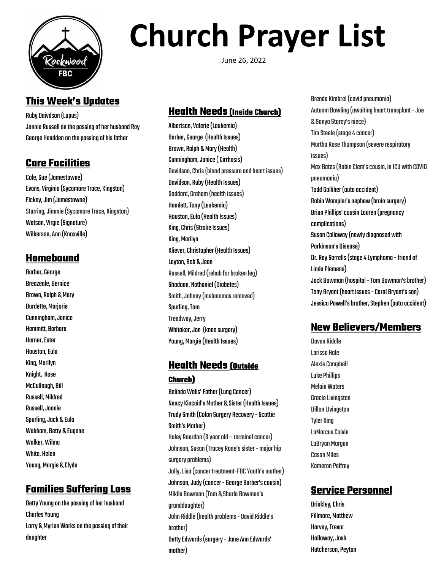

## **This Week's Updates**

Ruby Daivdson(Lupus) Jonnie Russell on the passing of her husband Ray George Headden on the passing of his father

## **Care Facilities**

Cole, Sue (Jamestowne) Evans, Virginia (Sycamore Trace, Kingston) Fickey, Jim (Jamestowne) Starring, Jimmie (Sycamore Trace, Kingston) Watson, Virgie (Signature) Wilkerson,Ann(Knoxville)

#### **Homebound**

Barber, George Breazeale, Bernice Brown, Ralph & Mary Burdette, Marjorie Cunningham, Janice Hammitt, Barbara **Harner, Ester Houston, Eula** King, Marilyn Knight, Rose McCullough, Bill Russell, Mildred Russell,Jonnie Spurling,Jack & Eula Wakham, Betty & Eugene Walker, Wilma White, Helen Young, Margie & Clyde

## **Families Suffering Loss**

Betty Young on the passing of her husband **Charles Young** Larry & Myrian Works on the passing of their daughter

# **Church Prayer List**

June 26, 2022

## **Health Needs (Inside Church)**

Albertson,Valerie(Leukemia) Barber, George (Health Issues) Brown, Ralph & Mary (Health) Cunningham,Janice(Cirrhosis) Davidson, Chris (blood pressure and heart issues) Davidson, Ruby (Health Issues) Goddard, Graham (health issues) Hamlett, Tony (Leukemia) Houston, Eula (Health Issues) King, Chris (Stroke Issues) King, Marilyn Kliever, Christopher (Health Issues) Layton, Bob & Jean Russell, Mildred (rehab for broken leg) Shadoan, Nathaniel (Diabetes) Smith, Johnny (melanomas removed) **Spurling, Tom Treadway, Jerry** Whitaker, Jon (knee surgery) Young, Margie (Health Issues)

## **Health Needs (Outside**

#### **Church)**

Belinda Wells' Father (Lung Cancer) Nancy Kincaid's Mother & Sister (Health Issues) Trudy Smith (Colon Surgery Recovery - Scottie Smith's Mother) HaleyReardon(6yearold – terminalcancer) Johnson, Susan (Tracey Rone's sister - major hip surgery problems) Jolly,Lisa(cancer treatment-FBCYouth's mother) Johnson, Judy (cancer - George Barber's cousin) Mikila Bowman(Tom & Sharla Bowman's granddaughter) John Riddle (health problems - Oavid Riddle's brother) Betty Edwards (surgery - Jane Ann Edwards' mother)

Brenda Kimbrel (covid pneumonia) Autumn Bowling (awaiting heart transplant - Joe & Sonya Storey's niece) Tim Steele(stage4cancer) Martha Rose Thompson (severe respiratory issues) Max Bates (Robin Clem's cousin, in ICU with COVID pneumonia) Todd Golliher (auto accident) Robin Wampler's nephew (brain surgery) Brian Phillips' cousin Lauren (pregnancy complications) SusanCalloway(newlydiagnosed with Parkinson's Disease) Dr. Ray Sorrells (stage 4 Lymphoma - friend of Linda Plemens) Jack Bowman (hospital - Tom Bowman's brother) Tony Bryant (heart issues - Carol Bryant's son) Jessica Powell's brother, Stephen (auto accident)

## **New Believers/Members**

Davan Riddle Larissa Hale **Alexis Campbell Luke Phillips** MelainWaters **Gracie Livingston Dillon Livingston Tyler King** LaMarcus Colvin LaBryan Morgan Cason Miles **Kameron Pelfrey** 

## **Service Personnel**

Brinkley,Chris Fillmore, Matthew Harvey, Trevor Holloway, Josh Hutcherson, Peyton